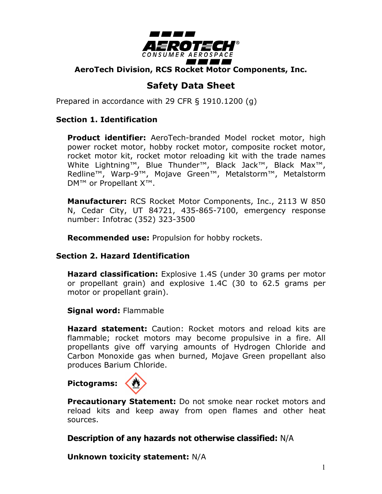

**AeroTech Division, RCS Rocket Motor Components, Inc.**

# **Safety Data Sheet**

Prepared in accordance with 29 CFR § 1910.1200 (g)

#### **Section 1. Identification**

**Product identifier:** AeroTech-branded Model rocket motor, high power rocket motor, hobby rocket motor, composite rocket motor, rocket motor kit, rocket motor reloading kit with the trade names White Lightning™, Blue Thunder™, Black Jack™, Black Max™, Redline™, Warp-9™, Mojave Green™, Metalstorm™, Metalstorm DM™ or Propellant X™.

**Manufacturer:** RCS Rocket Motor Components, Inc., 2113 W 850 N, Cedar City, UT 84721, 435-865-7100, emergency response number: Infotrac (352) 323-3500

**Recommended use:** Propulsion for hobby rockets.

#### **Section 2. Hazard Identification**

**Hazard classification:** Explosive 1.4S (under 30 grams per motor or propellant grain) and explosive 1.4C (30 to 62.5 grams per motor or propellant grain).

**Signal word:** Flammable

**Hazard statement:** Caution: Rocket motors and reload kits are flammable; rocket motors may become propulsive in a fire. All propellants give off varying amounts of Hydrogen Chloride and Carbon Monoxide gas when burned, Mojave Green propellant also produces Barium Chloride.

## **Pictograms:**



**Precautionary Statement:** Do not smoke near rocket motors and reload kits and keep away from open flames and other heat sources.

**Description of any hazards not otherwise classified:** N/A

**Unknown toxicity statement:** N/A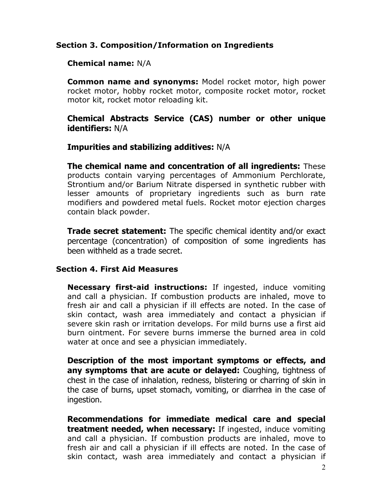## **Section 3. Composition/Information on Ingredients**

#### **Chemical name:** N/A

**Common name and synonyms:** Model rocket motor, high power rocket motor, hobby rocket motor, composite rocket motor, rocket motor kit, rocket motor reloading kit.

#### **Chemical Abstracts Service (CAS) number or other unique identifiers:** N/A

#### **Impurities and stabilizing additives:** N/A

**The chemical name and concentration of all ingredients:** These products contain varying percentages of Ammonium Perchlorate, Strontium and/or Barium Nitrate dispersed in synthetic rubber with lesser amounts of proprietary ingredients such as burn rate modifiers and powdered metal fuels. Rocket motor ejection charges contain black powder.

**Trade secret statement:** The specific chemical identity and/or exact percentage (concentration) of composition of some ingredients has been withheld as a trade secret.

#### **Section 4. First Aid Measures**

**Necessary first-aid instructions:** If ingested, induce vomiting and call a physician. If combustion products are inhaled, move to fresh air and call a physician if ill effects are noted. In the case of skin contact, wash area immediately and contact a physician if severe skin rash or irritation develops. For mild burns use a first aid burn ointment. For severe burns immerse the burned area in cold water at once and see a physician immediately.

**Description of the most important symptoms or effects, and any symptoms that are acute or delayed:** Coughing, tightness of chest in the case of inhalation, redness, blistering or charring of skin in the case of burns, upset stomach, vomiting, or diarrhea in the case of ingestion.

**Recommendations for immediate medical care and special treatment needed, when necessary:** If ingested, induce vomiting and call a physician. If combustion products are inhaled, move to fresh air and call a physician if ill effects are noted. In the case of skin contact, wash area immediately and contact a physician if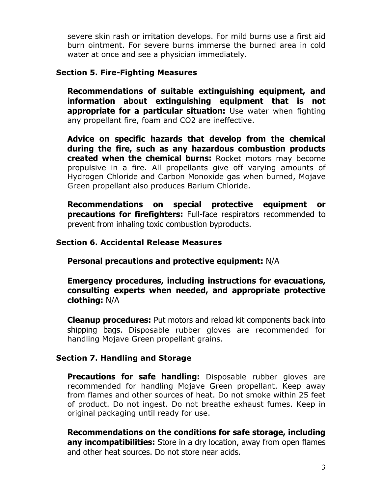severe skin rash or irritation develops. For mild burns use a first aid burn ointment. For severe burns immerse the burned area in cold water at once and see a physician immediately.

#### **Section 5. Fire-Fighting Measures**

**Recommendations of suitable extinguishing equipment, and information about extinguishing equipment that is not appropriate for a particular situation:** Use water when fighting any propellant fire, foam and CO2 are ineffective.

**Advice on specific hazards that develop from the chemical during the fire, such as any hazardous combustion products created when the chemical burns:** Rocket motors may become propulsive in a fire. All propellants give off varying amounts of Hydrogen Chloride and Carbon Monoxide gas when burned, Mojave Green propellant also produces Barium Chloride.

**Recommendations on special protective equipment or precautions for firefighters:** Full-face respirators recommended to prevent from inhaling toxic combustion byproducts.

#### **Section 6. Accidental Release Measures**

**Personal precautions and protective equipment:** N/A

**Emergency procedures, including instructions for evacuations, consulting experts when needed, and appropriate protective clothing:** N/A

**Cleanup procedures:** Put motors and reload kit components back into shipping bags. Disposable rubber gloves are recommended for handling Mojave Green propellant grains.

## **Section 7. Handling and Storage**

**Precautions for safe handling:** Disposable rubber gloves are recommended for handling Mojave Green propellant. Keep away from flames and other sources of heat. Do not smoke within 25 feet of product. Do not ingest. Do not breathe exhaust fumes. Keep in original packaging until ready for use.

**Recommendations on the conditions for safe storage, including any incompatibilities:** Store in a dry location, away from open flames and other heat sources. Do not store near acids.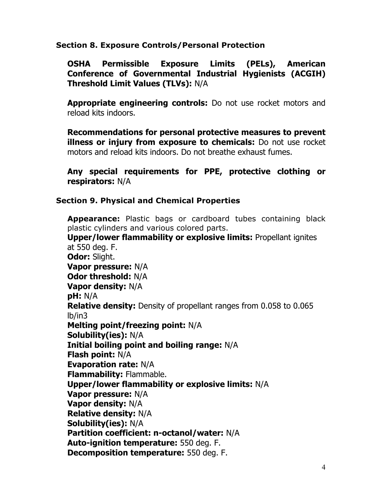## **Section 8. Exposure Controls/Personal Protection**

**OSHA Permissible Exposure Limits (PELs), American Conference of Governmental Industrial Hygienists (ACGIH) Threshold Limit Values (TLVs):** N/A

**Appropriate engineering controls:** Do not use rocket motors and reload kits indoors.

**Recommendations for personal protective measures to prevent illness or injury from exposure to chemicals:** Do not use rocket motors and reload kits indoors. Do not breathe exhaust fumes.

**Any special requirements for PPE, protective clothing or respirators:** N/A

## **Section 9. Physical and Chemical Properties**

**Appearance:** Plastic bags or cardboard tubes containing black plastic cylinders and various colored parts. **Upper/lower flammability or explosive limits:** Propellant ignites at 550 deg. F. **Odor:** Slight. **Vapor pressure:** N/A **Odor threshold:** N/A **Vapor density:** N/A **pH:** N/A **Relative density:** Density of propellant ranges from 0.058 to 0.065 lb/in3 **Melting point/freezing point:** N/A **Solubility(ies):** N/A **Initial boiling point and boiling range:** N/A **Flash point:** N/A **Evaporation rate:** N/A **Flammability:** Flammable. **Upper/lower flammability or explosive limits:** N/A **Vapor pressure:** N/A **Vapor density:** N/A **Relative density:** N/A **Solubility(ies):** N/A **Partition coefficient: n-octanol/water:** N/A **Auto-ignition temperature:** 550 deg. F. **Decomposition temperature:** 550 deg. F.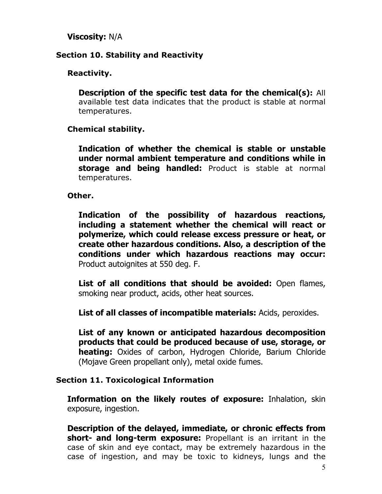**Viscosity:** N/A

## **Section 10. Stability and Reactivity**

## **Reactivity.**

**Description of the specific test data for the chemical(s):** All available test data indicates that the product is stable at normal temperatures.

## **Chemical stability.**

**Indication of whether the chemical is stable or unstable under normal ambient temperature and conditions while in storage and being handled:** Product is stable at normal temperatures.

**Other.**

**Indication of the possibility of hazardous reactions, including a statement whether the chemical will react or polymerize, which could release excess pressure or heat, or create other hazardous conditions. Also, a description of the conditions under which hazardous reactions may occur:** Product autoignites at 550 deg. F.

**List of all conditions that should be avoided:** Open flames, smoking near product, acids, other heat sources.

**List of all classes of incompatible materials:** Acids, peroxides.

**List of any known or anticipated hazardous decomposition products that could be produced because of use, storage, or heating:** Oxides of carbon, Hydrogen Chloride, Barium Chloride (Mojave Green propellant only), metal oxide fumes.

#### **Section 11. Toxicological Information**

**Information on the likely routes of exposure:** Inhalation, skin exposure, ingestion.

**Description of the delayed, immediate, or chronic effects from short- and long-term exposure:** Propellant is an irritant in the case of skin and eye contact, may be extremely hazardous in the case of ingestion, and may be toxic to kidneys, lungs and the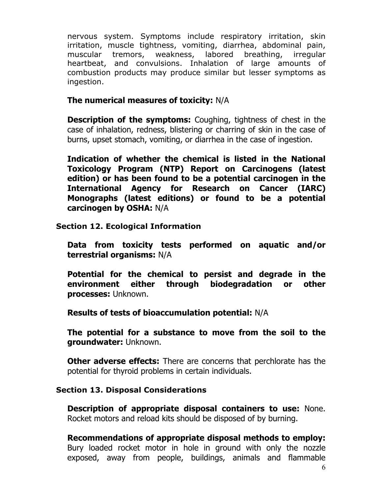nervous system. Symptoms include respiratory irritation, skin irritation, muscle tightness, vomiting, diarrhea, abdominal pain, muscular tremors, weakness, labored breathing, irregular heartbeat, and convulsions. Inhalation of large amounts of combustion products may produce similar but lesser symptoms as ingestion.

## **The numerical measures of toxicity:** N/A

**Description of the symptoms:** Coughing, tightness of chest in the case of inhalation, redness, blistering or charring of skin in the case of burns, upset stomach, vomiting, or diarrhea in the case of ingestion.

**Indication of whether the chemical is listed in the National Toxicology Program (NTP) Report on Carcinogens (latest edition) or has been found to be a potential carcinogen in the International Agency for Research on Cancer (IARC) Monographs (latest editions) or found to be a potential carcinogen by OSHA:** N/A

**Section 12. Ecological Information**

**Data from toxicity tests performed on aquatic and/or terrestrial organisms:** N/A

**Potential for the chemical to persist and degrade in the environment either through biodegradation or other processes:** Unknown.

**Results of tests of bioaccumulation potential:** N/A

**The potential for a substance to move from the soil to the groundwater:** Unknown.

**Other adverse effects:** There are concerns that perchlorate has the potential for thyroid problems in certain individuals.

## **Section 13. Disposal Considerations**

**Description of appropriate disposal containers to use:** None. Rocket motors and reload kits should be disposed of by burning.

**Recommendations of appropriate disposal methods to employ:** Bury loaded rocket motor in hole in ground with only the nozzle exposed, away from people, buildings, animals and flammable